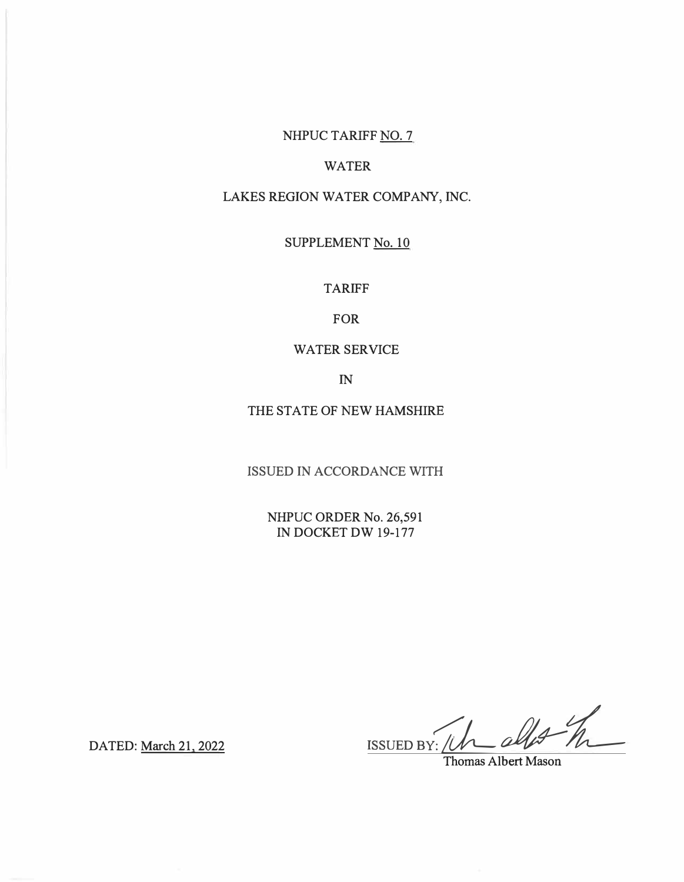# NHPUC TARIFF NO. 7

# WATER

# LAKES REGION WATER COMPANY, INC.

## SUPPLEMENT No. 10

TARIFF

FOR

## WATER SERVICE

IN

THE STATE OF NEW HAMSHIRE

ISSUED IN ACCORDANCE WITH

NHPUC ORDER No. 26,591 IN DOCKET DW 19-177

 $\frac{1}{\frac{1}{\frac{1}{\frac{1}{\frac{1}{\frac{1}{\sqrt{1+\frac{1}{\sqrt{1+\frac{1}{\sqrt{1+\frac{1}{\sqrt{1+\frac{1}{\sqrt{1+\frac{1}{\sqrt{1+\frac{1}{\sqrt{1+\frac{1}{\sqrt{1+\frac{1}{\sqrt{1+\frac{1}{\sqrt{1+\frac{1}{\sqrt{1+\frac{1}{\sqrt{1+\frac{1}{\sqrt{1+\frac{1}{\sqrt{1+\frac{1}{\sqrt{1+\frac{1}{\sqrt{1+\frac{1}{\sqrt{1+\frac{1}{\sqrt{1+\frac{1}{\sqrt{1+\frac{1}{\sqrt{1+\frac{1}{\sqrt{1+\frac{1}{\$ 

DATED: March 21, 2022